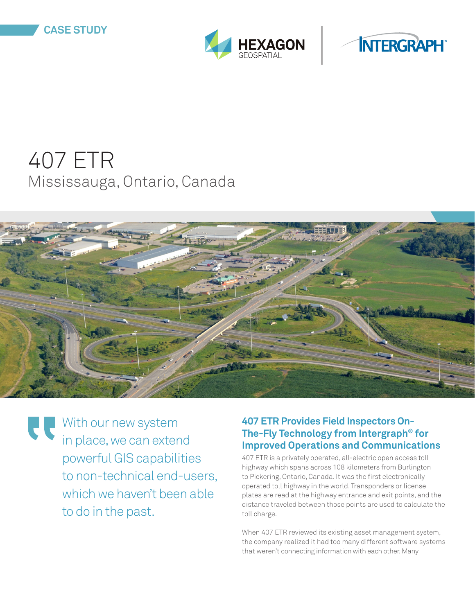



# 407 ETR Mississauga, Ontario, Canada



With our new system in place, we can extend powerful GIS capabilities to non-technical end-users, which we haven't been able to do in the past.

#### **407 ETR Provides Field Inspectors On-The-Fly Technology from Intergraph® for Improved Operations and Communications**

407 ETR is a privately operated, all-electric open access toll highway which spans across 108 kilometers from Burlington to Pickering, Ontario, Canada. It was the first electronically operated toll highway in the world. Transponders or license plates are read at the highway entrance and exit points, and the distance traveled between those points are used to calculate the toll charge.

When 407 ETR reviewed its existing asset management system, the company realized it had too many different software systems that weren't connecting information with each other. Many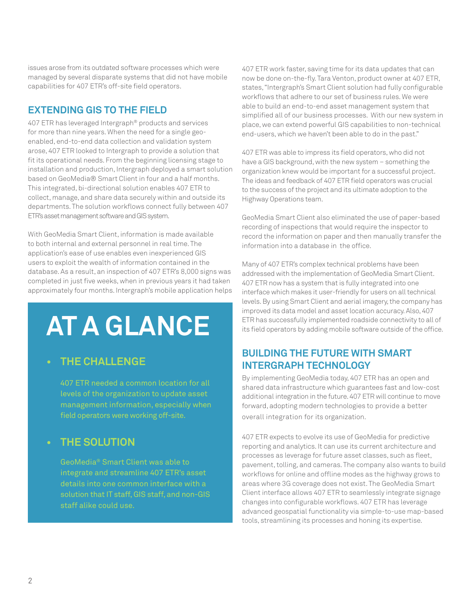issues arose from its outdated software processes which were managed by several disparate systems that did not have mobile capabilities for 407 ETR's off-site field operators.

#### **EXTENDING GIS TO THE FIELD**

407 ETR has leveraged Intergraph® products and services for more than nine years. When the need for a single geoenabled, end-to-end data collection and validation system arose, 407 ETR looked to Intergraph to provide a solution that fit its operational needs. From the beginning licensing stage to installation and production, Intergraph deployed a smart solution based on GeoMedia® Smart Client in four and a half months. This integrated, bi-directional solution enables 407 ETR to collect, manage, and share data securely within and outside its departments. The solution workflows connect fully between 407 ETR's asset management software and GIS system.

With GeoMedia Smart Client, information is made available to both internal and external personnel in real time. The application's ease of use enables even inexperienced GIS users to exploit the wealth of information contained in the database. As a result, an inspection of 407 ETR's 8,000 signs was completed in just five weeks, when in previous years it had taken approximately four months. Intergraph's mobile application helps

# **AT A GLANCE**

## **• THE CHALLENGE**

407 ETR needed a common location for all levels of the organization to update asset management information, especially when field operators were working off-site.

#### **• THE SOLUTION**

GeoMedia® Smart Client was able to integrate and streamline 407 ETR's asset details into one common interface with a solution that IT staff, GIS staff, and non-GIS staff alike could use.

407 ETR work faster, saving time for its data updates that can now be done on-the-fly. Tara Venton, product owner at 407 ETR, states, "Intergraph's Smart Client solution had fully configurable workflows that adhere to our set of business rules. We were able to build an end-to-end asset management system that simplified all of our business processes. With our new system in place, we can extend powerful GIS capabilities to non-technical end-users, which we haven't been able to do in the past."

407 ETR was able to impress its field operators, who did not have a GIS background, with the new system – something the organization knew would be important for a successful project. The ideas and feedback of 407 ETR field operators was crucial to the success of the project and its ultimate adoption to the Highway Operations team.

GeoMedia Smart Client also eliminated the use of paper-based recording of inspections that would require the inspector to record the information on paper and then manually transfer the information into a database in the office.

Many of 407 ETR's complex technical problems have been addressed with the implementation of GeoMedia Smart Client. 407 ETR now has a system that is fully integrated into one interface which makes it user-friendly for users on all technical levels. By using Smart Client and aerial imagery, the company has improved its data model and asset location accuracy. Also, 407 ETR has successfully implemented roadside connectivity to all of its field operators by adding mobile software outside of the office.

#### **BUILDING THE FUTURE WITH SMART INTERGRAPH TECHNOLOGY**

By implementing GeoMedia today, 407 ETR has an open and shared data infrastructure which guarantees fast and low-cost additional integration in the future. 407 ETR will continue to move forward, adopting modern technologies to provide a better overall integration for its organization.

407 ETR expects to evolve its use of GeoMedia for predictive reporting and analytics. It can use its current architecture and processes as leverage for future asset classes, such as fleet, pavement, tolling, and cameras. The company also wants to build workflows for online and offline modes as the highway grows to areas where 3G coverage does not exist. The GeoMedia Smart Client interface allows 407 ETR to seamlessly integrate signage changes into configurable workflows. 407 ETR has leverage advanced geospatial functionality via simple-to-use map-based tools, streamlining its processes and honing its expertise.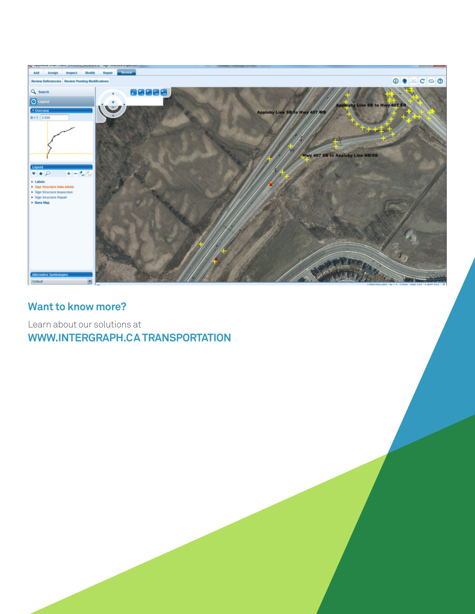

## **Want to know more?**

Learn about our solutions at **WWW.INTERGRAPH.CA TRANSPORTATION**